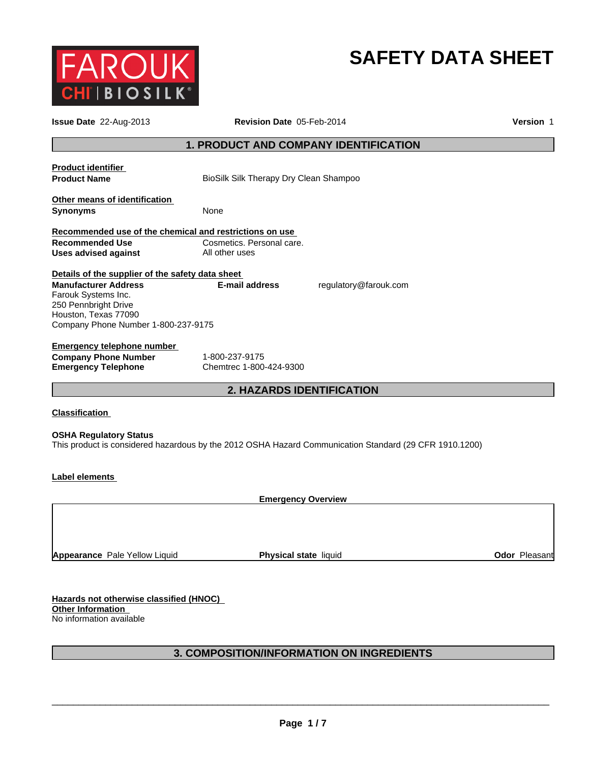

# **SAFETY DATA SHEET**

|                                                                                                                                                                                               | Revision Date 05-Feb-2014                                                                              |               |  |
|-----------------------------------------------------------------------------------------------------------------------------------------------------------------------------------------------|--------------------------------------------------------------------------------------------------------|---------------|--|
|                                                                                                                                                                                               | 1. PRODUCT AND COMPANY IDENTIFICATION                                                                  |               |  |
| <b>Product identifier</b><br><b>Product Name</b>                                                                                                                                              | BioSilk Silk Therapy Dry Clean Shampoo                                                                 |               |  |
| Other means of identification<br><b>Synonyms</b><br>None                                                                                                                                      |                                                                                                        |               |  |
| Recommended use of the chemical and restrictions on use<br><b>Recommended Use</b><br><b>Uses advised against</b>                                                                              | Cosmetics. Personal care.<br>All other uses                                                            |               |  |
|                                                                                                                                                                                               |                                                                                                        |               |  |
| Details of the supplier of the safety data sheet<br><b>Manufacturer Address</b><br>Farouk Systems Inc.<br>250 Pennbright Drive<br>Houston, Texas 77090<br>Company Phone Number 1-800-237-9175 | <b>E-mail address</b><br>regulatory@farouk.com                                                         |               |  |
| <b>Emergency telephone number</b><br><b>Company Phone Number</b><br><b>Emergency Telephone</b>                                                                                                | 1-800-237-9175<br>Chemtrec 1-800-424-9300                                                              |               |  |
|                                                                                                                                                                                               | 2. HAZARDS IDENTIFICATION                                                                              |               |  |
| <b>Classification</b>                                                                                                                                                                         |                                                                                                        |               |  |
| <b>OSHA Regulatory Status</b>                                                                                                                                                                 | This product is considered hazardous by the 2012 OSHA Hazard Communication Standard (29 CFR 1910.1200) |               |  |
| <b>Label elements</b>                                                                                                                                                                         |                                                                                                        |               |  |
|                                                                                                                                                                                               | <b>Emergency Overview</b>                                                                              |               |  |
|                                                                                                                                                                                               |                                                                                                        |               |  |
| Appearance Pale Yellow Liquid                                                                                                                                                                 | Physical state liquid                                                                                  | Odor Pleasant |  |
|                                                                                                                                                                                               |                                                                                                        |               |  |

# **3. COMPOSITION/INFORMATION ON INGREDIENTS**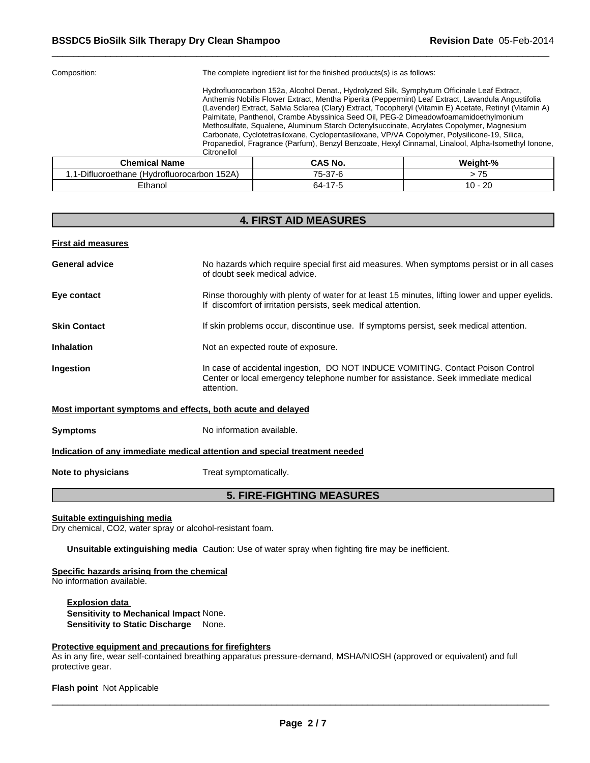| Composition:                                                  | The complete ingredient list for the finished products(s) is as follows:                                                                                                                                                                                                                                                                                                                                                                                                                                                                                                                                                                                                                                |  |  |  |  |
|---------------------------------------------------------------|---------------------------------------------------------------------------------------------------------------------------------------------------------------------------------------------------------------------------------------------------------------------------------------------------------------------------------------------------------------------------------------------------------------------------------------------------------------------------------------------------------------------------------------------------------------------------------------------------------------------------------------------------------------------------------------------------------|--|--|--|--|
| Citronellol                                                   | Hydrofluorocarbon 152a, Alcohol Denat., Hydrolyzed Silk, Symphytum Officinale Leaf Extract,<br>Anthemis Nobilis Flower Extract, Mentha Piperita (Peppermint) Leaf Extract, Lavandula Angustifolia<br>(Lavender) Extract, Salvia Sclarea (Clary) Extract, Tocopheryl (Vitamin E) Acetate, Retinyl (Vitamin A)<br>Palmitate, Panthenol, Crambe Abyssinica Seed Oil, PEG-2 Dimeadowfoamamidoethylmonium<br>Methosulfate, Squalene, Aluminum Starch Octenylsuccinate, Acrylates Copolymer, Magnesium<br>Carbonate, Cyclotetrasiloxane, Cyclopentasiloxane, VP/VA Copolymer, Polysilicone-19, Silica,<br>Propanediol, Fragrance (Parfum), Benzyl Benzoate, Hexyl Cinnamal, Linalool, Alpha-Isomethyl Ionone, |  |  |  |  |
| CAS No.<br>Weight-%<br><b>Chemical Name</b>                   |                                                                                                                                                                                                                                                                                                                                                                                                                                                                                                                                                                                                                                                                                                         |  |  |  |  |
| 1,1-Difluoroethane (Hydrofluorocarbon 152A)<br>75-37-6<br>>75 |                                                                                                                                                                                                                                                                                                                                                                                                                                                                                                                                                                                                                                                                                                         |  |  |  |  |
| Ethanol<br>64-17-5<br>$10 - 20$                               |                                                                                                                                                                                                                                                                                                                                                                                                                                                                                                                                                                                                                                                                                                         |  |  |  |  |

# **4. FIRST AID MEASURES**

#### **First aid measures**

| <b>General advice</b>                                       | No hazards which require special first aid measures. When symptoms persist or in all cases<br>of doubt seek medical advice.                                                        |
|-------------------------------------------------------------|------------------------------------------------------------------------------------------------------------------------------------------------------------------------------------|
| Eye contact                                                 | Rinse thoroughly with plenty of water for at least 15 minutes, lifting lower and upper eyelids.<br>If discomfort of irritation persists, seek medical attention.                   |
| <b>Skin Contact</b>                                         | If skin problems occur, discontinue use. If symptoms persist, seek medical attention.                                                                                              |
| <b>Inhalation</b>                                           | Not an expected route of exposure.                                                                                                                                                 |
| <b>Ingestion</b>                                            | In case of accidental ingestion, DO NOT INDUCE VOMITING. Contact Poison Control<br>Center or local emergency telephone number for assistance. Seek immediate medical<br>attention. |
| Most important symptoms and offects, both acute and delayed |                                                                                                                                                                                    |

#### <u>st important symptoms and effects, both acute and delayed</u>

**Symptoms** No information available.

#### **Indication of any immediate medical attention and special treatment needed**

**Note to physicians** Treat symptomatically.

# **5. FIRE-FIGHTING MEASURES**

#### **Suitable extinguishing media**

Dry chemical, CO2, water spray or alcohol-resistant foam.

**Unsuitable extinguishing media** Caution: Use of water spray when fighting fire may be inefficient.

# **Specific hazards arising from the chemical**

No information available.

**Explosion data Sensitivity to Mechanical Impact** None. **Sensitivity to Static Discharge** None.

## **Protective equipment and precautions for firefighters**

As in any fire, wear self-contained breathing apparatus pressure-demand, MSHA/NIOSH (approved or equivalent) and full protective gear.

**Flash point** Not Applicable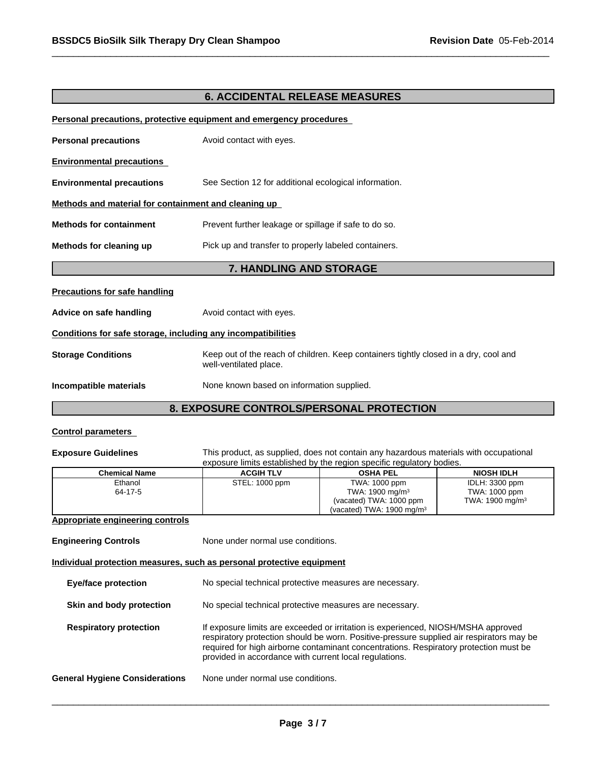# **6. ACCIDENTAL RELEASE MEASURES**

#### **Personal precautions, protective equipment and emergency procedures**

| <b>Personal precautions</b>                                  | Avoid contact with eyes.                                                                                       |
|--------------------------------------------------------------|----------------------------------------------------------------------------------------------------------------|
| <b>Environmental precautions</b>                             |                                                                                                                |
| <b>Environmental precautions</b>                             | See Section 12 for additional ecological information.                                                          |
| Methods and material for containment and cleaning up         |                                                                                                                |
| <b>Methods for containment</b>                               | Prevent further leakage or spillage if safe to do so.                                                          |
| Methods for cleaning up                                      | Pick up and transfer to properly labeled containers.                                                           |
|                                                              | <b>7. HANDLING AND STORAGE</b>                                                                                 |
| <b>Precautions for safe handling</b>                         |                                                                                                                |
| Advice on safe handling                                      | Avoid contact with eyes.                                                                                       |
| Conditions for safe storage, including any incompatibilities |                                                                                                                |
| <b>Storage Conditions</b>                                    | Keep out of the reach of children. Keep containers tightly closed in a dry, cool and<br>well-ventilated place. |
| Incompatible materials                                       | None known based on information supplied.                                                                      |

# **8. EXPOSURE CONTROLS/PERSONAL PROTECTION**

#### **Control parameters**

**Exposure Guidelines** This product, as supplied, does not contain any hazardous materials with occupational exposure limits established by the region specific regulatory bodies.

|                      | <u>and a come in this activities with the rediction advisors of the set of the set of the set of the set of the s</u> |                                       | ------                      |
|----------------------|-----------------------------------------------------------------------------------------------------------------------|---------------------------------------|-----------------------------|
| <b>Chemical Name</b> | <b>ACGIH TLV</b>                                                                                                      | <b>OSHA PEL</b>                       | <b>NIOSH IDLH</b>           |
| Ethanol              | STEL: 1000 ppm                                                                                                        | TWA: 1000 ppm                         | IDLH: 3300 ppm              |
| 64-17-5              |                                                                                                                       | TWA: $1900 \text{ mg/m}^3$            | TWA: 1000 ppm               |
|                      |                                                                                                                       | (vacated) TWA: 1000 ppm               | TWA: 1900 mg/m <sup>3</sup> |
|                      |                                                                                                                       | (vacated) TWA: 1900 mg/m <sup>3</sup> |                             |

# **Appropriate engineering controls**

| <b>Engineering Controls</b> | None under normal use conditions. |
|-----------------------------|-----------------------------------|
|-----------------------------|-----------------------------------|

#### **Individual protection measures, such as personal protective equipment**

| <b>Eye/face protection</b>            | No special technical protective measures are necessary.                                                                                                                                                                                                                                                                          |
|---------------------------------------|----------------------------------------------------------------------------------------------------------------------------------------------------------------------------------------------------------------------------------------------------------------------------------------------------------------------------------|
| Skin and body protection              | No special technical protective measures are necessary.                                                                                                                                                                                                                                                                          |
| <b>Respiratory protection</b>         | If exposure limits are exceeded or irritation is experienced, NIOSH/MSHA approved<br>respiratory protection should be worn. Positive-pressure supplied air respirators may be<br>required for high airborne contaminant concentrations. Respiratory protection must be<br>provided in accordance with current local regulations. |
| <b>General Hygiene Considerations</b> | None under normal use conditions.                                                                                                                                                                                                                                                                                                |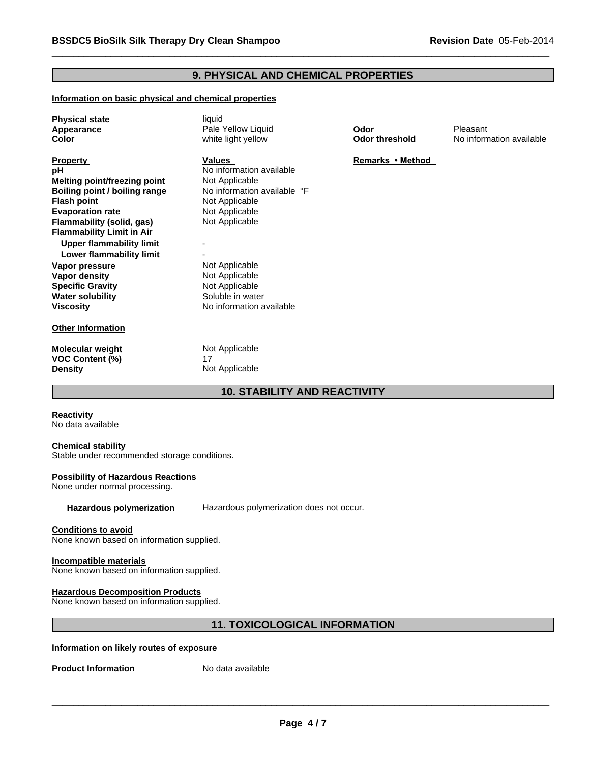# **9. PHYSICAL AND CHEMICAL PROPERTIES**

#### **Information on basic physical and chemical properties**

| <b>Physical state</b><br>Appearance<br>Color                                                                                                                                                                                                                                                                                                                                                | liquid<br>Pale Yellow Liquid<br>white light yellow                                                                                                                                                                                              | Odor<br><b>Odor threshold</b> | Pleasant<br>No information available |
|---------------------------------------------------------------------------------------------------------------------------------------------------------------------------------------------------------------------------------------------------------------------------------------------------------------------------------------------------------------------------------------------|-------------------------------------------------------------------------------------------------------------------------------------------------------------------------------------------------------------------------------------------------|-------------------------------|--------------------------------------|
| <b>Property</b><br>рH<br><b>Melting point/freezing point</b><br>Boiling point / boiling range<br><b>Flash point</b><br><b>Evaporation rate</b><br>Flammability (solid, gas)<br><b>Flammability Limit in Air</b><br><b>Upper flammability limit</b><br>Lower flammability limit<br>Vapor pressure<br>Vapor density<br><b>Specific Gravity</b><br><b>Water solubility</b><br><b>Viscosity</b> | Values<br>No information available<br>Not Applicable<br>No information available °F<br>Not Applicable<br>Not Applicable<br>Not Applicable<br>Not Applicable<br>Not Applicable<br>Not Applicable<br>Soluble in water<br>No information available | Remarks • Method              |                                      |
| <b>Other Information</b>                                                                                                                                                                                                                                                                                                                                                                    |                                                                                                                                                                                                                                                 |                               |                                      |
| Molecular weight<br><b>VOC Content (%)</b><br><b>Density</b>                                                                                                                                                                                                                                                                                                                                | Not Applicable<br>17<br>Not Applicable                                                                                                                                                                                                          |                               |                                      |

# **10. STABILITY AND REACTIVITY**

**Reactivity**  No data available

#### **Chemical stability**

Stable under recommended storage conditions.

#### **Possibility of Hazardous Reactions**

None under normal processing.

**Hazardous polymerization** Hazardous polymerization does not occur.

#### **Conditions to avoid**

None known based on information supplied.

#### **Incompatible materials**

None known based on information supplied.

#### **Hazardous Decomposition Products**

None known based on information supplied.

# **11. TOXICOLOGICAL INFORMATION**

#### **Information on likely routes of exposure**

**Product Information** No data available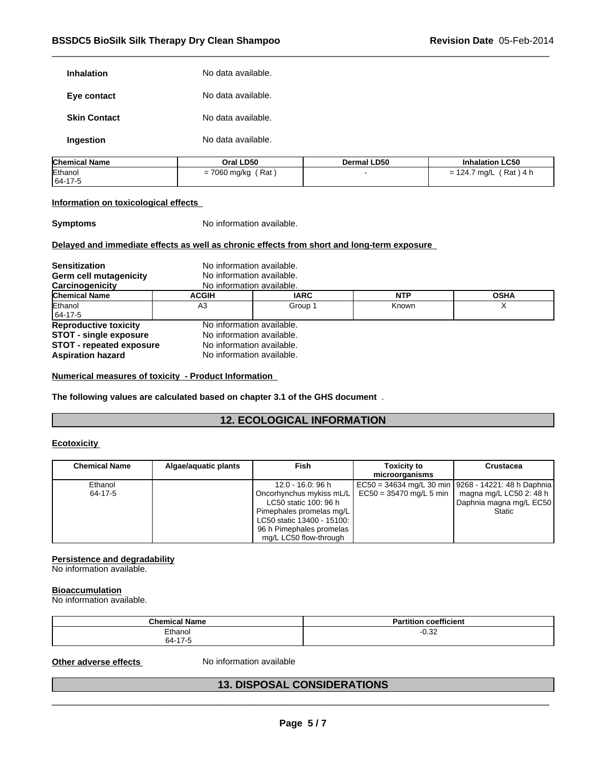| <b>Inhalation</b>   | No data available. |
|---------------------|--------------------|
| Eye contact         | No data available. |
| <b>Skin Contact</b> | No data available. |
| Ingestion           | No data available. |

| <b>Chemical Name</b> | Oral LD50              | Dermal LD50 | <b>Inhalation LC50</b>                                                           |
|----------------------|------------------------|-------------|----------------------------------------------------------------------------------|
| Ethanol              | Rat<br>7060 mg/kg<br>= |             | Rat<br>$\Lambda$ h<br>124.7<br>' ma∕L<br>$\overline{\phantom{0}}$<br>141.<br>- 1 |
| 64-17-5              |                        |             |                                                                                  |

#### **Information on toxicological effects**

**Symptoms** No information available.

#### **Delayed and immediate effects as well as chronic effects from short and long-term exposure**

| <b>Sensitization</b>            |                           | No information available. |            |             |  |  |
|---------------------------------|---------------------------|---------------------------|------------|-------------|--|--|
| Germ cell mutagenicity          |                           | No information available. |            |             |  |  |
| Carcinogenicity                 | No information available. |                           |            |             |  |  |
| <b>Chemical Name</b>            | <b>ACGIH</b>              | <b>IARC</b>               | <b>NTP</b> | <b>OSHA</b> |  |  |
| Ethanol                         | A3                        | Group 1                   | Known      |             |  |  |
| 64-17-5                         |                           |                           |            |             |  |  |
| <b>Reproductive toxicity</b>    |                           | No information available. |            |             |  |  |
| <b>STOT - single exposure</b>   |                           | No information available. |            |             |  |  |
| <b>STOT - repeated exposure</b> |                           | No information available. |            |             |  |  |
| <b>Aspiration hazard</b>        |                           | No information available. |            |             |  |  |

**Numerical measures of toxicity - Product Information** 

**The following values are calculated based on chapter 3.1 of the GHS document** .

# **12. ECOLOGICAL INFORMATION**

#### **Ecotoxicity**

| <b>Chemical Name</b> | Algae/aguatic plants | Fish                                                   | <b>Toxicity to</b><br>microorganisms                    | <b>Crustacea</b>                                      |
|----------------------|----------------------|--------------------------------------------------------|---------------------------------------------------------|-------------------------------------------------------|
| Ethanol              |                      | 12.0 - 16.0: 96 h                                      |                                                         | EC50 = 34634 mg/L 30 min   9268 - 14221: 48 h Daphnia |
| 64-17-5              |                      | LC50 static 100: 96 h                                  | Oncorhynchus mykiss mL/L $\mid$ EC50 = 35470 mg/L 5 min | magna mg/L LC50 2: 48 h<br>Daphnia magna mg/L EC50    |
|                      |                      | Pimephales promelas mg/L<br>LC50 static 13400 - 15100: |                                                         | Static                                                |
|                      |                      | 96 h Pimephales promelas<br>mg/L LC50 flow-through     |                                                         |                                                       |

#### **Persistence and degradability**

No information available.

#### **Bioaccumulation**

No information available.

| Chemical<br>.<br><b>Name</b> | coefficient<br>n.<br>$\cdot$<br>titi∩n |
|------------------------------|----------------------------------------|
| Ethanol<br>64-17-5           | റ ാറ<br>-∪.ა∠                          |

# Other adverse effects Moniformation available<br> **All the Second Structure of the Second Structure of the Second Structure of the Second Structure of the Second Structure of the Second Structure of the Second Structure of th 13. DISPOSAL CONSIDERATIONS**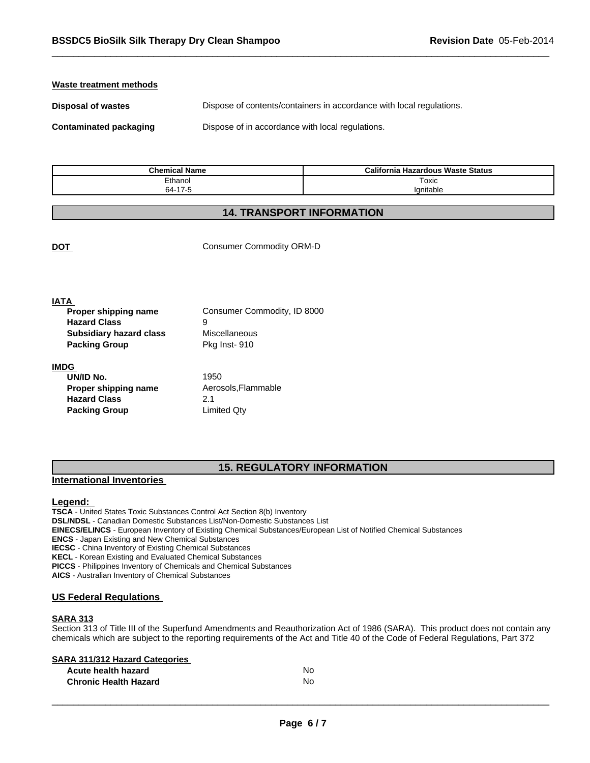#### **Waste treatment methods**

**Disposal of wastes Dispose of contents/containers in accordance with local regulations.** 

**Contaminated packaging Dispose of in accordance with local regulations.** 

| <b>Chemical Name</b> | <b>California</b><br>। Hazardous Waste Status |
|----------------------|-----------------------------------------------|
| Ethanol              | Toxic                                         |
| 64-17-5<br>7-0       | 'anitable                                     |

### **14. TRANSPORT INFORMATION**

**DOT** Consumer Commodity ORM-D

| <b>IATA</b>                    |                             |  |
|--------------------------------|-----------------------------|--|
| Proper shipping name           | Consumer Commodity, ID 8000 |  |
| <b>Hazard Class</b>            | 9                           |  |
| <b>Subsidiary hazard class</b> | Miscellaneous               |  |
| <b>Packing Group</b>           | Pkg Inst-910                |  |
| <b>IMDG</b>                    |                             |  |
| UN/ID No.                      | 1950                        |  |
| Proper shipping name           | Aerosols, Flammable         |  |
| <b>Hazard Class</b>            | 2.1                         |  |

**Packing Group Limited Qty** 

### **15. REGULATORY INFORMATION**

#### **International Inventories**

#### **Legend:**

**TSCA** - United States Toxic Substances Control Act Section 8(b) Inventory **DSL/NDSL** - Canadian Domestic Substances List/Non-Domestic Substances List **EINECS/ELINCS** - European Inventory of Existing Chemical Substances/European List of Notified Chemical Substances **ENCS** - Japan Existing and New Chemical Substances **IECSC** - China Inventory of Existing Chemical Substances **KECL** - Korean Existing and Evaluated Chemical Substances **PICCS** - Philippines Inventory of Chemicals and Chemical Substances **AICS** - Australian Inventory of Chemical Substances

#### **US Federal Regulations**

#### **SARA 313**

Section 313 of Title III of the Superfund Amendments and Reauthorization Act of 1986 (SARA). This product does not contain any chemicals which are subject to the reporting requirements of the Act and Title 40 of the Code of Federal Regulations, Part 372

#### **SARA 311/312 Hazard Categories**

| Acute health hazard          | No |  |
|------------------------------|----|--|
| <b>Chronic Health Hazard</b> | No |  |
|                              |    |  |
|                              |    |  |